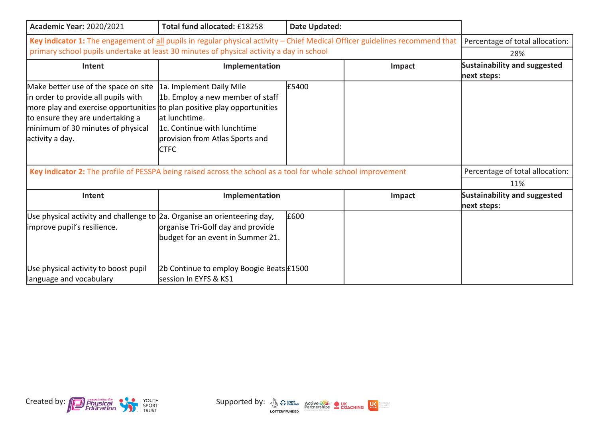| <b>Academic Year: 2020/2021</b>                                                                                                                                                                                                                     | Total fund allocated: £18258                                                                                                                                     | Date Updated: |                                                    |                                 |
|-----------------------------------------------------------------------------------------------------------------------------------------------------------------------------------------------------------------------------------------------------|------------------------------------------------------------------------------------------------------------------------------------------------------------------|---------------|----------------------------------------------------|---------------------------------|
| Key indicator 1: The engagement of all pupils in regular physical activity - Chief Medical Officer guidelines recommend that                                                                                                                        | Percentage of total allocation:                                                                                                                                  |               |                                                    |                                 |
| primary school pupils undertake at least 30 minutes of physical activity a day in school                                                                                                                                                            | 28%                                                                                                                                                              |               |                                                    |                                 |
| Intent                                                                                                                                                                                                                                              | Implementation<br>Impact                                                                                                                                         |               | <b>Sustainability and suggested</b><br>next steps: |                                 |
| Make better use of the space on site<br>in order to provide all pupils with<br>more play and exercise opportunities to plan positive play opportunities<br>to ensure they are undertaking a<br>minimum of 30 minutes of physical<br>activity a day. | 1a. Implement Daily Mile<br>1b. Employ a new member of staff<br>lat lunchtime.<br>l1c. Continue with lunchtime<br>provision from Atlas Sports and<br><b>CTFC</b> | £5400         |                                                    |                                 |
| Key indicator 2: The profile of PESSPA being raised across the school as a tool for whole school improvement                                                                                                                                        |                                                                                                                                                                  |               |                                                    | Percentage of total allocation: |
|                                                                                                                                                                                                                                                     |                                                                                                                                                                  |               |                                                    | 11%                             |
| Intent                                                                                                                                                                                                                                              | Implementation<br>Impact                                                                                                                                         |               | <b>Sustainability and suggested</b><br>next steps: |                                 |
| Use physical activity and challenge to 2a. Organise an orienteering day,<br>improve pupil's resilience.                                                                                                                                             | organise Tri-Golf day and provide<br>budget for an event in Summer 21.                                                                                           | £600          |                                                    |                                 |
| Use physical activity to boost pupil<br>language and vocabulary                                                                                                                                                                                     | 2b Continue to employ Boogie Beats £1500<br>session In EYFS & KS1                                                                                                |               |                                                    |                                 |



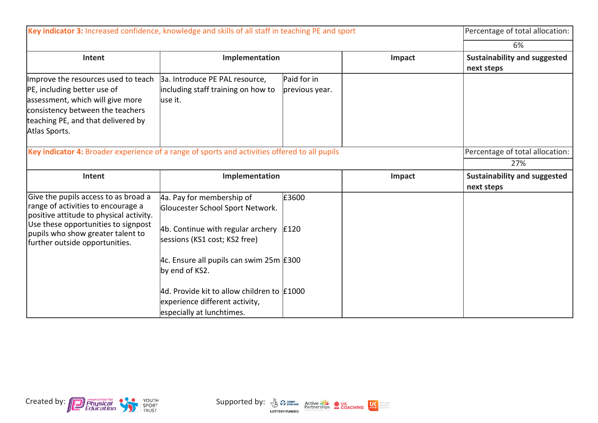| Key indicator 3: Increased confidence, knowledge and skills of all staff in teaching PE and sport                                                                                                                                   |                                                                                                                                                                                                     |                               |        | Percentage of total allocation:                   |
|-------------------------------------------------------------------------------------------------------------------------------------------------------------------------------------------------------------------------------------|-----------------------------------------------------------------------------------------------------------------------------------------------------------------------------------------------------|-------------------------------|--------|---------------------------------------------------|
|                                                                                                                                                                                                                                     |                                                                                                                                                                                                     |                               |        | 6%                                                |
| Intent                                                                                                                                                                                                                              | Implementation                                                                                                                                                                                      |                               | Impact | <b>Sustainability and suggested</b><br>next steps |
| Improve the resources used to teach<br>PE, including better use of<br>assessment, which will give more<br>consistency between the teachers<br>teaching PE, and that delivered by<br>Atlas Sports.                                   | 3a. Introduce PE PAL resource,<br>including staff training on how to<br>luse it.                                                                                                                    | Paid for in<br>previous year. |        |                                                   |
| Key indicator 4: Broader experience of a range of sports and activities offered to all pupils                                                                                                                                       |                                                                                                                                                                                                     |                               |        | Percentage of total allocation:                   |
|                                                                                                                                                                                                                                     |                                                                                                                                                                                                     |                               |        | 27%                                               |
|                                                                                                                                                                                                                                     |                                                                                                                                                                                                     |                               |        |                                                   |
| Intent                                                                                                                                                                                                                              | Implementation                                                                                                                                                                                      |                               | Impact | Sustainability and suggested<br>next steps        |
| Give the pupils access to as broad a<br>range of activities to encourage a<br>positive attitude to physical activity.<br>Use these opportunities to signpost<br>pupils who show greater talent to<br>further outside opportunities. | 4a. Pay for membership of<br>Gloucester School Sport Network.<br>4b. Continue with regular archery<br>sessions (KS1 cost; KS2 free)<br>4c. Ensure all pupils can swim 25m $E$ 300<br>by end of KS2. | £3600<br>£120                 |        |                                                   |